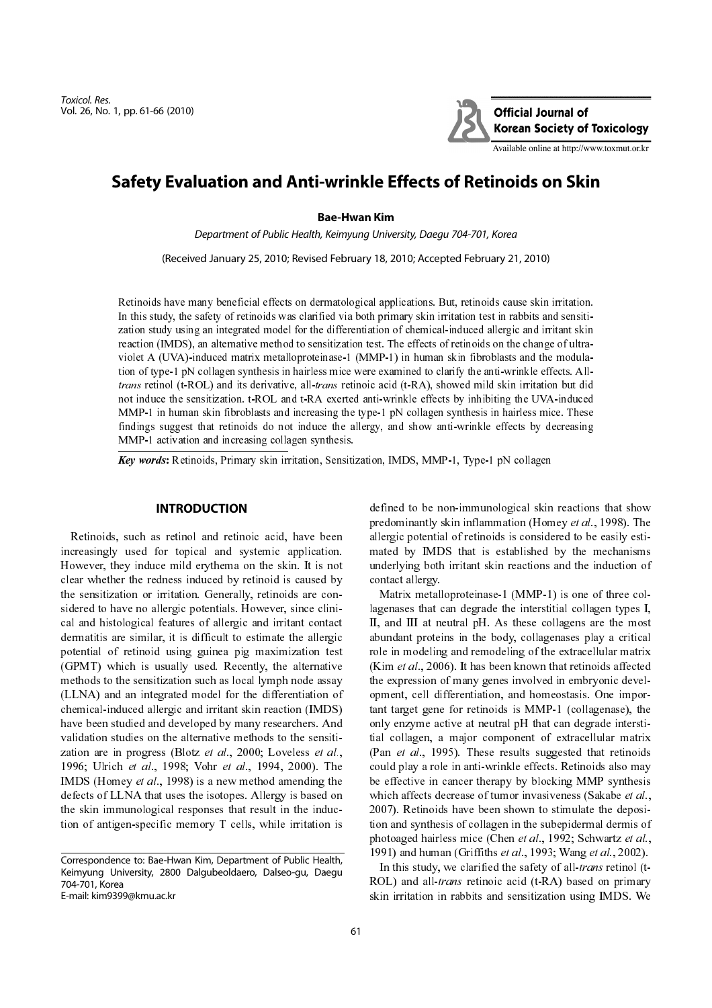Toxicol. Res. Vol. 26, No. 1, pp. 61-66 (2010)



Available online at http://www.toxmut.or.kr

# **Safety Evaluation and Anti-wrinkle Effects of Retinoids on Skin**

#### **Bae-Hwan Kim**

Department of Public Health, Keimyung University, Daegu 704-701, Korea

(Received January 25, 2010; Revised February 18, 2010; Accepted February 21, 2010)

Retinoids have many beneficial effects on dermatological applications. But, retinoids cause skin irritation. In this study, the safety of retinoids was clarified via both primary skin irritation test in rabbits and sensitization study using an integrated model for the differentiation of chemical-induced allergic and irritant skin reaction (IMDS), an alternative method to sensitization test. The effects of retinoids on the change of ultraviolet A (UVA)-induced matrix metalloproteinase-1 (MMP-1) in human skin fibroblasts and the modulation of type-1 pN collagen synthesis in hairless mice were examined to clarify the anti-wrinkle effects. Alltrans retinol (t-ROL) and its derivative, all-trans retinoic acid (t-RA), showed mild skin irritation but did not induce the sensitization. t-ROL and t-RA exerted anti-wrinkle effects by inhibiting the UVA-induced MMP-1 in human skin fibroblasts and increasing the type-1 pN collagen synthesis in hairless mice. These findings suggest that retinoids do not induce the allergy, and show anti-wrinkle effects by decreasing MMP-1 activation and increasing collagen synthesis.

Key words: Retinoids, Primary skin irritation, Sensitization, IMDS, MMP-1, Type-1 pN collagen

## **INTRODUCTION**

Retinoids, such as retinol and retinoic acid, have been increasingly used for topical and systemic application. However, they induce mild erythema on the skin. It is not clear whether the redness induced by retinoid is caused by the sensitization or irritation. Generally, retinoids are considered to have no allergic potentials. However, since clinical and histological features of allergic and irritant contact dermatitis are similar, it is difficult to estimate the allergic potential of retinoid using guinea pig maximization test (GPMT) which is usually used. Recently, the alternative methods to the sensitization such as local lymph node assay (LLNA) and an integrated model for the differentiation of chemical-induced allergic and irritant skin reaction (IMDS) have been studied and developed by many researchers. And validation studies on the alternative methods to the sensitization are in progress (Blotz et al., 2000; Loveless et al., 1996; Ulrich et al., 1998; Vohr et al., 1994, 2000). The IMDS (Homey et al., 1998) is a new method amending the defects of LLNA that uses the isotopes. Allergy is based on the skin immunological responses that result in the induction of antigen-specific memory T cells, while irritation is

Correspondence to: Bae-Hwan Kim, Department of Public Health, Keimyung University, 2800 Dalgubeoldaero, Dalseo-gu, Daegu 704-701, Korea E-mail: kim9399@kmu.ac.kr

defined to be non-immunological skin reactions that show predominantly skin inflammation (Homey et al., 1998). The allergic potential of retinoids is considered to be easily estimated by IMDS that is established by the mechanisms underlying both irritant skin reactions and the induction of contact allergy.

Matrix metalloproteinase-1 (MMP-1) is one of three collagenases that can degrade the interstitial collagen types I, II, and III at neutral pH. As these collagens are the most abundant proteins in the body, collagenases play a critical role in modeling and remodeling of the extracellular matrix (Kim et al., 2006). It has been known that retinoids affected the expression of many genes involved in embryonic development, cell differentiation, and homeostasis. One important target gene for retinoids is MMP-1 (collagenase), the only enzyme active at neutral pH that can degrade interstitial collagen, a major component of extracellular matrix (Pan et al., 1995). These results suggested that retinoids could play a role in anti-wrinkle effects. Retinoids also may be effective in cancer therapy by blocking MMP synthesis which affects decrease of tumor invasiveness (Sakabe *et al.*, 2007). Retinoids have been shown to stimulate the deposition and synthesis of collagen in the subepidermal dermis of photoaged hairless mice (Chen et al., 1992; Schwartz et al., 1991) and human (Griffiths et al., 1993; Wang et al., 2002).

In this study, we clarified the safety of all-*trans* retinol (t-ROL) and all-*trans* retinoic acid (t-RA) based on primary skin irritation in rabbits and sensitization using IMDS. We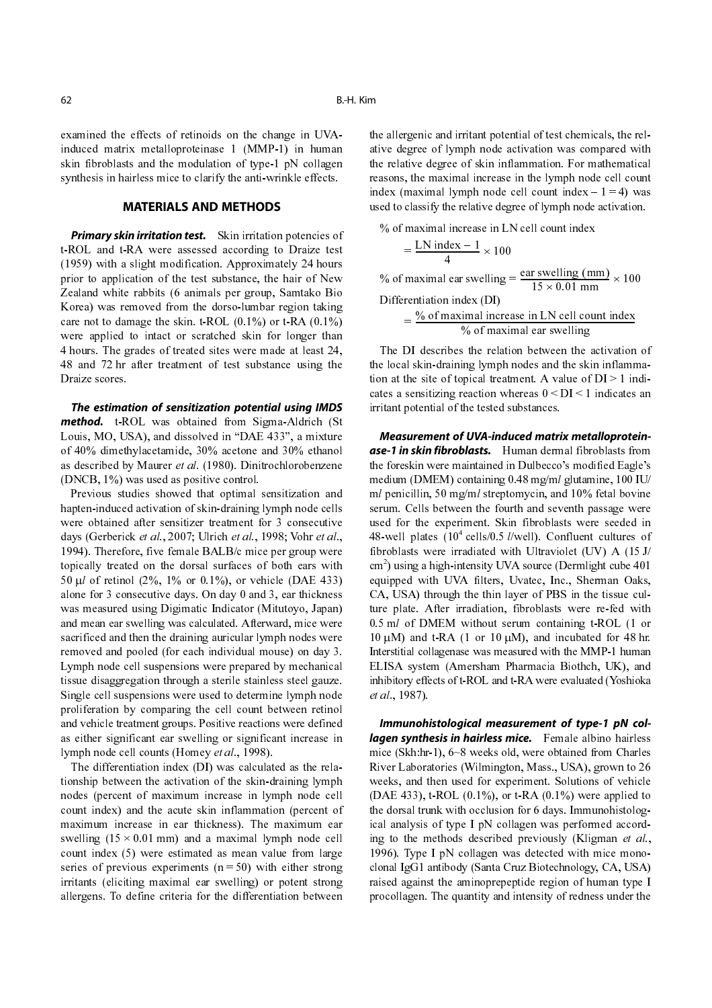examined the effects of retinoids on the change in UVAinduced matrix metalloproteinase 1 (MMP-1) in human skin fibroblasts and the modulation of type-1 pN collagen synthesis in hairless mice to clarify the anti-wrinkle effects.

## **MATERIALS AND METHODS**

**Primary skin irritation test.** Skin irritation potencies of t-ROL and t-RA were assessed according to Draize test (1959) with a slight modification. Approximately 24 hours prior to application of the test substance, the hair of New Zealand white rabbits (6 animals per group, Samtako Bio Korea) was removed from the dorso-lumbar region taking care not to damage the skin. t-ROL  $(0.1\%)$  or t-RA  $(0.1\%)$ were applied to intact or scratched skin for longer than 4 hours. The grades of treated sites were made at least 24, 48 and 72 hr after treatment of test substance using the Draize scores.

*The estimation of sensitization potential using IMDS* **method.** t-ROL was obtained from Sigma-Aldrich (St Louis, MO, USA), and dissolved in "DAE 433", a mixture of 40% dimethylacetamide, 30% acetone and 30% ethanol as described by Maurer et al. (1980). Dinitrochlorobenzene (DNCB, 1%) was used as positive control.

Previous studies showed that optimal sensitization and hapten-induced activation of skin-draining lymph node cells were obtained after sensitizer treatment for 3 consecutive days (Gerberick et al., 2007; Ulrich et al., 1998; Vohr et al., 1994). Therefore, five female BALB/c mice per group were topically treated on the dorsal surfaces of both ears with 50  $\mu$ *l* of retinol (2%, 1% or 0.1%), or vehicle (DAE 433) alone for 3 consecutive days. On day 0 and 3, ear thickness was measured using Digimatic Indicator (Mitutoyo, Japan) and mean ear swelling was calculated. Afterward, mice were sacrificed and then the draining auricular lymph nodes were removed and pooled (for each individual mouse) on day 3. Lymph node cell suspensions were prepared by mechanical tissue disaggregation through a sterile stainless steel gauze. Single cell suspensions were used to determine lymph node proliferation by comparing the cell count between retinol and vehicle treatment groups. Positive reactions were defined as either significant ear swelling or significant increase in lymph node cell counts (Homey et al., 1998).

The differentiation index (DI) was calculated as the relationship between the activation of the skin-draining lymph nodes (percent of maximum increase in lymph node cell count index) and the acute skin inflammation (percent of maximum increase in ear thickness). The maximum ear swelling  $(15 \times 0.01 \text{ mm})$  and a maximal lymph node cell count index (5) were estimated as mean value from large series of previous experiments  $(n = 50)$  with either strong irritants (eliciting maximal ear swelling) or potent strong allergens. To define criteria for the differentiation between

the allergenic and irritant potential of test chemicals, the relative degree of lymph node activation was compared with the relative degree of skin inflammation. For mathematical reasons, the maximal increase in the lymph node cell count index (maximal lymph node cell count index  $-1 = 4$ ) was used to classify the relative degree of lymph node activation.

% of maximal increase in LN cell count index

$$
=\frac{\text{LN index}-1}{4} \times 100
$$

% of maximal ear swelling  $=$   $\frac{\text{ear switching (mm)}}{15 \times 0.01 \text{ mm}} \times 100$ <br>Differentiation index (DI)

Differentiation index (DI)  $=\frac{\% \text{ of maximal increase in LN cell count index}}{}$ 

 $%$  of maximal ear swelling

The DI describes the relation between the activation of the local skin-draining lymph nodes and the skin inflammation at the site of topical treatment. A value of  $DI > 1$  indicates a sensitizing reaction whereas  $0 < D<sub>I</sub> < 1$  indicates an irritant potential of the tested substances.

*Measurement of UVA-induced matrix metalloproteinase-1 in skin fibroblasts.* Human dermal fibroblasts from the foreskin were maintained in Dulbecco's modified Eagle's medium (DMEM) containing 0.48 mg/ml glutamine, 100 IU/ ml penicillin, 50 mg/ml streptomycin, and 10% fetal bovine serum. Cells between the fourth and seventh passage were used for the experiment. Skin fibroblasts were seeded in 48-well plates  $(10^4 \text{ cells}/0.5 \text{ l/well})$ . Confluent cultures of fibroblasts were irradiated with Ultraviolet (UV) A (15 J/ cm2 ) using a high-intensity UVA source (Dermlight cube 401 equipped with UVA filters, Uvatec, Inc., Sherman Oaks, CA, USA) through the thin layer of PBS in the tissue culture plate. After irradiation, fibroblasts were re-fed with 0.5 ml of DMEM without serum containing t-ROL (1 or  $10 \mu M$ ) and t-RA (1 or 10  $\mu$ M), and incubated for 48 hr. Interstitial collagenase was measured with the MMP-1 human ELISA system (Amersham Pharmacia Biothch, UK), and inhibitory effects of t-ROL and t-RA were evaluated (Yoshioka et al., 1987).

*Immunohistological measurement of type-1 pN collagen synthesis in hairless mice.* Female albino hairless mice (Skh:hr-1), 6~8 weeks old, were obtained from Charles River Laboratories (Wilmington, Mass., USA), grown to 26 weeks, and then used for experiment. Solutions of vehicle (DAE 433),  $t$ -ROL (0.1%), or  $t$ -RA (0.1%) were applied to the dorsal trunk with occlusion for 6 days. Immunohistological analysis of type I pN collagen was performed according to the methods described previously (Kligman et al., 1996). Type I pN collagen was detected with mice monoclonal IgG1 antibody (Santa Cruz Biotechnology, CA, USA) raised against the aminoprepeptide region of human type I procollagen. The quantity and intensity of redness under the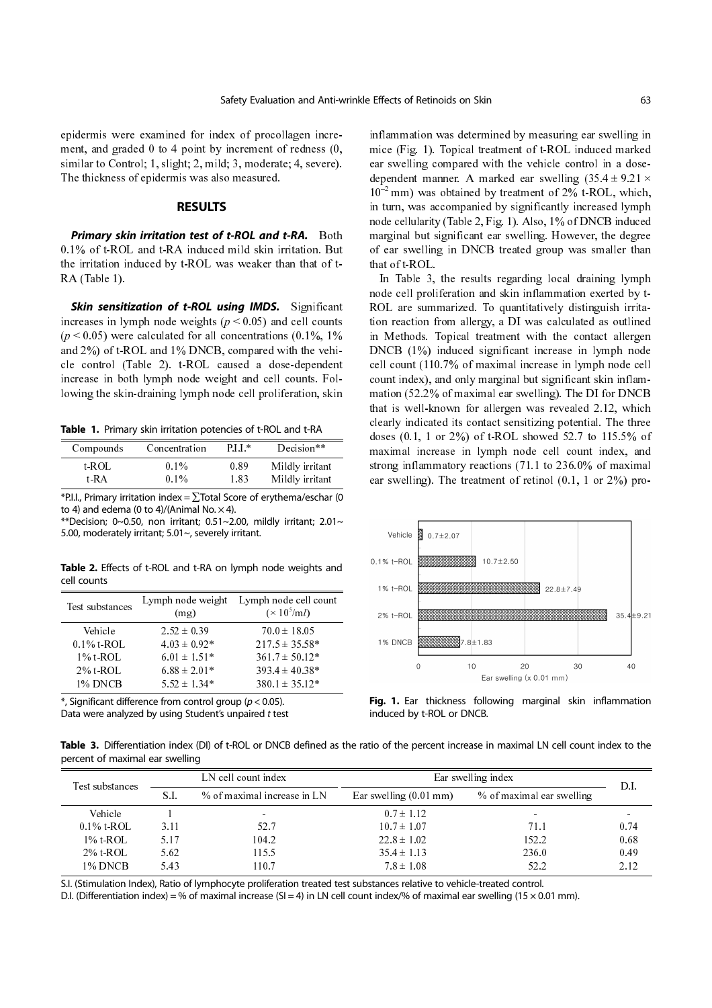epidermis were examined for index of procollagen increment, and graded 0 to 4 point by increment of redness (0, similar to Control; 1, slight; 2, mild; 3, moderate; 4, severe). The thickness of epidermis was also measured.

#### **RESULTS**

*Primary skin irritation test of t-ROL and t-RA.* Both 0.1% of t-ROL and t-RA induced mild skin irritation. But the irritation induced by t-ROL was weaker than that of t-RA (Table 1).

**Skin sensitization of t-ROL using IMDS.** Significant increases in lymph node weights ( $p < 0.05$ ) and cell counts  $(p < 0.05)$  were calculated for all concentrations  $(0.1\%, 1\%)$ and 2%) of t-ROL and 1% DNCB, compared with the vehicle control (Table 2). t-ROL caused a dose-dependent increase in both lymph node weight and cell counts. Following the skin-draining lymph node cell proliferation, skin

**Table 1.** Primary skin irritation potencies of t-ROL and t-RA

| Compounds | Concentration | PI I * | Decision**      |
|-----------|---------------|--------|-----------------|
| t ROL     | $0.1\%$       | 0.89   | Mildly irritant |
| t RA      | $0.1\%$       | 1.83   | Mildly irritant |

 $*$ P.I.I., Primary irritation index =  $\Sigma$ Total Score of erythema/eschar (0 to 4) and edema (0 to 4)/(Animal No.  $\times$  4).

\*\*Decision; 0~0.50, non irritant; 0.51~2.00, mildly irritant; 2.01~ 5.00, moderately irritant; 5.01~, severely irritant.

**Table 2.** Effects of t-ROL and t-RA on lymph node weights and cell counts

| Test substances | Lymph node weight<br>(mg) | Lymph node cell count<br>$(\times 10^5 \text{/m}l)$ |
|-----------------|---------------------------|-----------------------------------------------------|
| Vehicle         | $2.52 \pm 0.39$           | $70.0 \pm 18.05$                                    |
| $0.1\%$ t ROL   | $4.03 \pm 0.92*$          | $217.5 \pm 35.58*$                                  |
| $1\%$ t ROL.    | $6.01 \pm 1.51*$          | $361.7 \pm 50.12*$                                  |
| $2\%$ t-ROL     | $6.88 \pm 2.01*$          | $393.4 \pm 40.38*$                                  |
| 1% DNCB         | $5.52 \pm 1.34*$          | $380.1 \pm 35.12*$                                  |

```
*, Significant difference from control group (p < 0.05).
Data were analyzed by using Student's unpaired t test
```
inflammation was determined by measuring ear swelling in mice (Fig. 1). Topical treatment of t-ROL induced marked ear swelling compared with the vehicle control in a dosedependent manner. A marked ear swelling  $(35.4 \pm 9.21 \times$  $10^{-2}$  mm) was obtained by treatment of 2% t-ROL, which, in turn, was accompanied by significantly increased lymph node cellularity (Table 2, Fig. 1). Also, 1% of DNCB induced in turn, was accompanied by significantly increased lymph node cellularity (Table 2, Fig. 1). Also, 1% of DNCB induced marginal but significant ear swelling. However, the degree of ear swelling in DNCB treated group was smaller than that of t-ROL.

In Table 3, the results regarding local draining lymph node cell proliferation and skin inflammation exerted by t-ROL are summarized. To quantitatively distinguish irritation reaction from allergy, a DI was calculated as outlined in Methods. Topical treatment with the contact allergen DNCB (1%) induced significant increase in lymph node cell count (110.7% of maximal increase in lymph node cell count index), and only marginal but significant skin inflammation (52.2% of maximal ear swelling). The DI for DNCB that is well-known for allergen was revealed 2.12, which clearly indicated its contact sensitizing potential. The three doses (0.1, 1 or 2%) of t-ROL showed 52.7 to 115.5% of maximal increase in lymph node cell count index, and strong inflammatory reactions (71.1 to 236.0% of maximal ear swelling). The treatment of retinol (0.1, 1 or 2%) pro-



**Fig. 1.** Ear thickness following marginal skin inflammation induced by t-ROL or DNCB.

Table 3. Differentiation index (DI) of t-ROL or DNCB defined as the ratio of the percent increase in maximal LN cell count index to the percent of maximal ear swelling

| Test substances | LN cell count index |                             | Ear swelling index               | D.I.                      |      |
|-----------------|---------------------|-----------------------------|----------------------------------|---------------------------|------|
|                 | SJ.                 | % of maximal increase in LN | Ear swelling $(0.01 \text{ mm})$ | % of maximal ear swelling |      |
| Vehicle         |                     | $\sim$                      | $0.7 \pm 1.12$                   |                           |      |
| $0.1\%$ t ROL   | 3.11                | 52.7                        | $10.7 \pm 1.07$                  | 71.1                      | 0.74 |
| $1\%$ t ROL     | 5.17                | 104.2                       | $22.8 \pm 1.02$                  | 152.2                     | 0.68 |
| $2\%$ t-ROL     | 5.62                | 115.5                       | $35.4 \pm 1.13$                  | 236.0                     | 0.49 |
| 1% DNCB         | 5.43                | 10.7                        | $7.8 \pm 1.08$                   | 52.2                      | 2.12 |

S.I. (Stimulation Index), Ratio of lymphocyte proliferation treated test substances relative to vehicle-treated control.

D.I. (Differentiation index) = % of maximal increase (SI = 4) in LN cell count index/% of maximal ear swelling (15  $\times$  0.01 mm).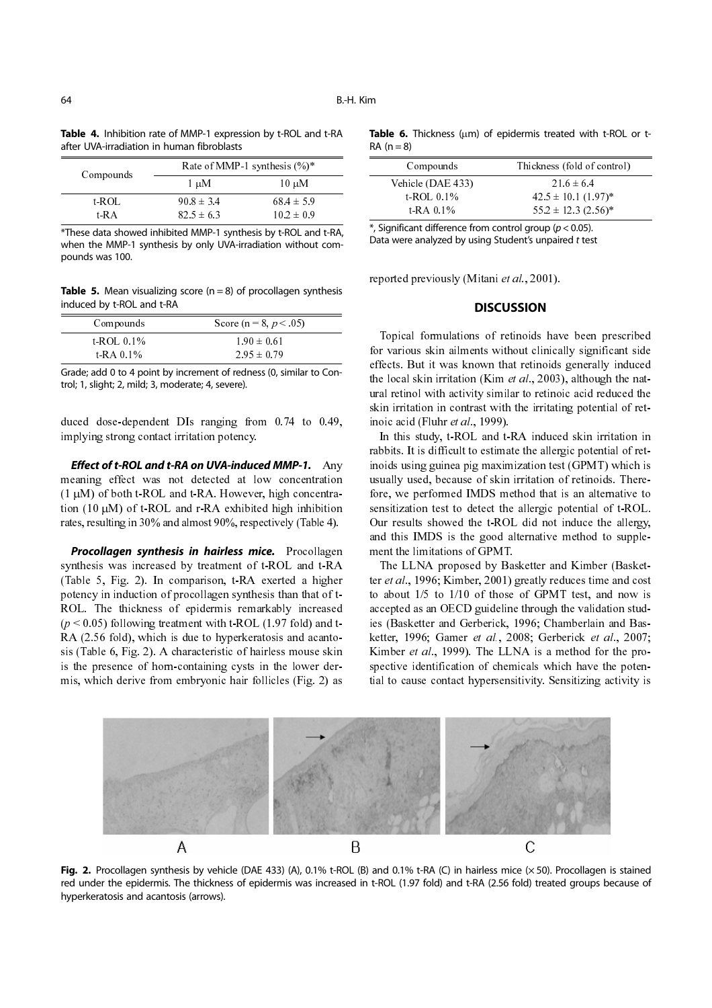|  | Table 4. Inhibition rate of MMP-1 expression by t-ROL and t-RA |  |  |
|--|----------------------------------------------------------------|--|--|
|  | after UVA-irradiation in human fibroblasts                     |  |  |

| Compounds | Rate of MMP-1 synthesis $(\%)^*$ |                |  |
|-----------|----------------------------------|----------------|--|
|           | 1 µM                             | $10 \mu M$     |  |
| t-ROL     | $90.8 \pm 3.4$                   | $68.4 \pm 5.9$ |  |
| t RA      | $82.5 \pm 6.3$                   | $10.2 \pm 0.9$ |  |

\*These data showed inhibited MMP-1 synthesis by t-ROL and t-RA, when the MMP-1 synthesis by only UVA-irradiation without compounds was 100.

**Table 5.** Mean visualizing score  $(n = 8)$  of procollagen synthesis induced by t-ROL and t-RA

| Compounds    | Score (n = 8, $p < .05$ ) |
|--------------|---------------------------|
| $t$ ROL 0.1% | $1.90 \pm 0.61$           |
| $t$ -RA 0.1% | $2.95 \pm 0.79$           |

Grade; add 0 to 4 point by increment of redness (0, similar to Control; 1, slight; 2, mild; 3, moderate; 4, severe).

duced dose-dependent DIs ranging from 0.74 to 0.49, implying strong contact irritation potency.

*Effect of t-ROL and t-RA on UVA-induced MMP-1.* Any meaning effect was not detected at low concentration  $(1 \mu M)$  of both t-ROL and t-RA. However, high concentration  $(10 \mu M)$  of t-ROL and r-RA exhibited high inhibition rates, resulting in 30% and almost 90%, respectively (Table 4).

*Procollagen synthesis in hairless mice.* Procollagen synthesis was increased by treatment of t-ROL and t-RA (Table 5, Fig. 2). In comparison, t-RA exerted a higher potency in induction of procollagen synthesis than that of t-ROL. The thickness of epidermis remarkably increased  $(p < 0.05)$  following treatment with t-ROL (1.97 fold) and t-RA (2.56 fold), which is due to hyperkeratosis and acantosis (Table 6, Fig. 2). A characteristic of hairless mouse skin is the presence of horn-containing cysts in the lower dermis, which derive from embryonic hair follicles (Fig. 2) as

**Table 6.** Thickness (µm) of epidermis treated with t-ROL or t- $RA (n = 8)$ 

| Compounds         | Thickness (fold of control) |
|-------------------|-----------------------------|
| Vehicle (DAE 433) | $216 \pm 64$                |
| t ROL $0.1\%$     | $42.5 \pm 10.1$ (1.97)*     |
| $t$ RA 0.1%       | $55.2 \pm 12.3$ (2.56)*     |
|                   |                             |

 $*$ , Significant difference from control group ( $p < 0.05$ ). Data were analyzed by using Student's unpaired t test

reported previously (Mitani et al., 2001).

## **DISCUSSION**

Topical formulations of retinoids have been prescribed for various skin ailments without clinically significant side effects. But it was known that retinoids generally induced the local skin irritation (Kim *et al.*, 2003), although the natural retinol with activity similar to retinoic acid reduced the skin irritation in contrast with the irritating potential of retinoic acid (Fluhr et al., 1999).

In this study, t-ROL and t-RA induced skin irritation in rabbits. It is difficult to estimate the allergic potential of retinoids using guinea pig maximization test (GPMT) which is usually used, because of skin irritation of retinoids. Therefore, we performed IMDS method that is an alternative to sensitization test to detect the allergic potential of t-ROL. Our results showed the t-ROL did not induce the allergy, and this IMDS is the good alternative method to supplement the limitations of GPMT.

The LLNA proposed by Basketter and Kimber (Basketter et al., 1996; Kimber, 2001) greatly reduces time and cost to about 1/5 to 1/10 of those of GPMT test, and now is accepted as an OECD guideline through the validation studies (Basketter and Gerberick, 1996; Chamberlain and Basketter, 1996; Gamer et al., 2008; Gerberick et al., 2007; Kimber *et al.*, 1999). The LLNA is a method for the prospective identification of chemicals which have the potential to cause contact hypersensitivity. Sensitizing activity is



**Fig. 2.** Procollagen synthesis by vehicle (DAE 433) (A), 0.1% t-ROL (B) and 0.1% t-RA (C) in hairless mice (× 50). Procollagen is stained red under the epidermis. The thickness of epidermis was increased in t-ROL (1.97 fold) and t-RA (2.56 fold) treated groups because of hyperkeratosis and acantosis (arrows).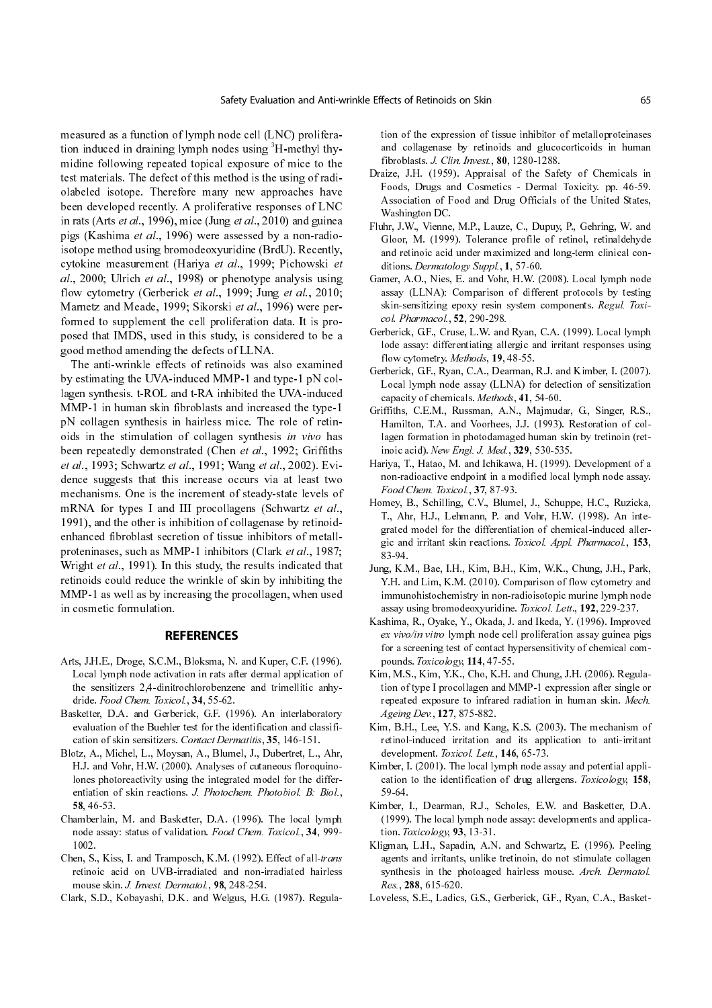measured as a function of lymph node cell (LNC) proliferation induced in draining lymph nodes using 'H-methyl thymidine following repeated topical exposure of mice to the test materials. The defect of this method is the using of radiolabeled isotope. Therefore many new approaches have been developed recently. A proliferative responses of LNC in rats (Arts *et al.*, 1996), mice (Jung *et al.*, 2010) and guinear pigs (Kashima et al., 1996) were assessed by a non-radioisotope method using bromodeoxyuridine (BrdU). Recently, cytokine measurement (Hariya et al., 1999; Pichowski et al., 2000; Ulrich et al., 1998) or phenotype analysis using flow cytometry (Gerberick et al., 1999; Jung et al., 2010; Marnetz and Meade, 1999; Sikorski et al., 1996) were performed to supplement the cell proliferation data. It is proposed that IMDS, used in this study, is considered to be a good method amending the defects of LLNA.

The anti-wrinkle effects of retinoids was also examined by estimating the UVA-induced MMP-1 and type-1 pN collagen synthesis. t-ROL and t-RA inhibited the UVA-induced MMP-1 in human skin fibroblasts and increased the type-1 pN collagen synthesis in hairless mice. The role of retinoids in the stimulation of collagen synthesis in vivo has been repeatedly demonstrated (Chen et al., 1992; Griffiths et al., 1993; Schwartz et al., 1991; Wang et al., 2002). Evidence suggests that this increase occurs via at least two mechanisms. One is the increment of steady-state levels of mRNA for types I and III procollagens (Schwartz et al., 1991), and the other is inhibition of collagenase by retinoidenhanced fibroblast secretion of tissue inhibitors of metallproteninases, such as MMP-1 inhibitors (Clark et al., 1987; Wright et al., 1991). In this study, the results indicated that retinoids could reduce the wrinkle of skin by inhibiting the MMP-1 as well as by increasing the procollagen, when used in cosmetic formulation.

#### **REFERENCES**

- Arts, J.H.E., Droge, S.C.M., Bloksma, N. and Kuper, C.F. (1996). Local lymph node activation in rats after dermal application of the sensitizers 2,4-dinitrochlorobenzene and trimellitic anhydride. Food Chem. Toxicol., 34, 55-62.
- Basketter, D.A. and Gerberick, G.F. (1996). An interlaboratory evaluation of the Buehler test for the identification and classification of skin sensitizers. Contact Dermatitis, 35, 146-151.
- Blotz, A., Michel, L., Moysan, A., Blumel, J., Dubertret, L., Ahr, H.J. and Vohr, H.W. (2000). Analyses of cutaneous floroquinolones photoreactivity using the integrated model for the differentiation of skin reactions. J. Photochem. Photobiol. B: Biol., 58, 46-53.
- Chamberlain, M. and Basketter, D.A. (1996). The local lymph node assay: status of validation. Food Chem. Toxicol., 34, 999- 1002.
- Chen, S., Kiss, I. and Tramposch, K.M. (1992). Effect of all-trans retinoic acid on UVB-irradiated and non-irradiated hairless mouse skin. J. Invest. Dermatol., 98, 248-254.
- Clark, S.D., Kobayashi, D.K. and Welgus, H.G. (1987). Regula-

tion of the expression of tissue inhibitor of metalloproteinases and collagenase by retinoids and glucocorticoids in human fibroblasts. J. Clin. Invest., 80, 1280-1288.

- Draize, J.H. (1959). Appraisal of the Safety of Chemicals in Foods, Drugs and Cosmetics - Dermal Toxicity. pp. 46-59. Association of Food and Drug Officials of the United States, Washington DC.
- Fluhr, J.W., Vienne, M.P., Lauze, C., Dupuy, P., Gehring, W. and Gloor, M. (1999). Tolerance profile of retinol, retinaldehyde and retinoic acid under maximized and long-term clinical conditions. Dermatology Suppl., 1, 57-60.
- Gamer, A.O., Nies, E. and Vohr, H.W. (2008). Local lymph node assay (LLNA): Comparison of different protocols by testing skin-sensitizing epoxy resin system components. Regul. Toxicol. Pharmacol., 52, 290-298.
- Gerberick, G.F., Cruse, L.W. and Ryan, C.A. (1999). Local lymph lode assay: differentiating allergic and irritant responses using flow cytometry. Methods, 19, 48-55.
- Gerberick, G.F., Ryan, C.A., Dearman, R.J. and Kimber, I. (2007). Local lymph node assay (LLNA) for detection of sensitization capacity of chemicals. Methods, 41, 54-60.
- Griffiths, C.E.M., Russman, A.N., Majmudar, G., Singer, R.S., Hamilton, T.A. and Voorhees, J.J. (1993). Restoration of collagen formation in photodamaged human skin by tretinoin (retinoic acid). New Engl. J. Med., 329, 530-535.
- Hariya, T., Hatao, M. and Ichikawa, H. (1999). Development of a non-radioactive endpoint in a modified local lymph node assay. Food Chem. Toxicol., 37, 87-93.
- Homey, B., Schilling, C.V., Blumel, J., Schuppe, H.C., Ruzicka, T., Ahr, H.J., Lehmann, P. and Vohr, H.W. (1998). An integrated model for the differentiation of chemical-induced allergic and irritant skin reactions. Toxicol. Appl. Pharmacol., 153, 83-94.
- Jung, K.M., Bae, I.H., Kim, B.H., Kim, W.K., Chung, J.H., Park, Y.H. and Lim, K.M. (2010). Comparison of flow cytometry and immunohistochemistry in non-radioisotopic murine lymph node assay using bromodeoxyuridine. Toxicol. Lett., 192, 229-237.
- Kashima, R., Oyake, Y., Okada, J. and Ikeda, Y. (1996). Improved ex vivo/in vitro lymph node cell proliferation assay guinea pigs for a screening test of contact hypersensitivity of chemical compounds. Toxicology, 114, 47-55.
- Kim, M.S., Kim, Y.K., Cho, K.H. and Chung, J.H. (2006). Regulation of type I procollagen and MMP-1 expression after single or repeated exposure to infrared radiation in human skin. Mech. Ageing Dev., 127, 875-882.
- Kim, B.H., Lee, Y.S. and Kang, K.S. (2003). The mechanism of retinol-induced irritation and its application to anti-irritant development. Toxicol. Lett., 146, 65-73.
- Kimber, I. (2001). The local lymph node assay and potential application to the identification of drug allergens. Toxicology, 158, 59-64.
- Kimber, I., Dearman, R.J., Scholes, E.W. and Basketter, D.A. (1999). The local lymph node assay: developments and application. Toxicology, 93, 13-31.
- Kligman, L.H., Sapadin, A.N. and Schwartz, E. (1996). Peeling agents and irritants, unlike tretinoin, do not stimulate collagen synthesis in the photoaged hairless mouse. Arch. Dermatol. Res., 288, 615-620.
- Loveless, S.E., Ladics, G.S., Gerberick, G.F., Ryan, C.A., Basket-